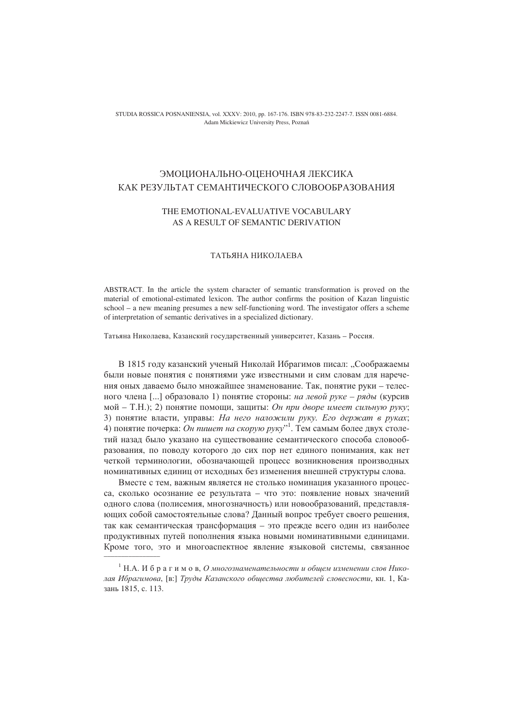STUDIA ROSSICA POSNANIENSIA, vol. XXXV: 2010, pp. 167-176. ISBN 978-83-232-2247-7. ISSN 0081-6884. Adam Mickiewicz University Press, Poznań

# ЭМОЦИОНАЛЬНО-ОЦЕНОЧНАЯ ЛЕКСИКА КАК РЕЗУЛЬТАТ СЕМАНТИЧЕСКОГО СЛОВООБРАЗОВАНИЯ

## THE EMOTIONAL-EVALUATIVE VOCABULARY AS A RESULT OF SEMANTIC DERIVATION

### ТАТЬЯНА НИКОЛАЕВА

ABSTRACT. In the article the system character of semantic transformation is proved on the material of emotional-estimated lexicon. The author confirms the position of Kazan linguistic school – a new meaning presumes a new self-functioning word. The investigator offers a scheme of interpretation of semantic derivatives in a specialized dictionary.

Татьяна Николаева, Казанский государственный университет, Казань - Россия,

В 1815 году казанский ученый Николай Ибрагимов писал: "Соображаемы были новые понятия с понятиями уже известными и сим словам лля наречения оных даваемо было множайшее знаменование. Так, понятие руки - телесного члена [...] образовало 1) понятие стороны: на левой руке - ряды (курсив мой - Т.Н.); 2) понятие помощи, защиты: Он при дворе имеет сильную руку; 3) понятие власти, управы: На него наложили руку. Его держат в руках; 4) понятие почерка: Он пишет на скорую руку"<sup>1</sup>. Тем самым более двух столетий назад было указано на существование семантического способа словообразования, по поводу которого до сих пор нет единого понимания, как нет четкой терминологии, обозначающей процесс возникновения производных номинативных единиц от исходных без изменения внешней структуры слова.

Вместе с тем, важным является не столько номинация указанного процесса, сколько осознание ее результата - что это: появление новых значений одного слова (полисемия, многозначность) или новообразований, представляющих собой самостоятельные слова? Ланный вопрос требует своего решения, так как семантическая трансформация - это прежде всего один из наиболее продуктивных путей пополнения языка новыми номинативными единицами. Кроме того, это и многоаспектное явление языковой системы, связанное

 $^{-1}$  H.A. И б р а г и м о в. О многознаменательности и обшем изменении слов Николая Ибрагимова, [в:] Труды Казанского общества любителей словесности, кн. 1, Казань 1815, с. 113.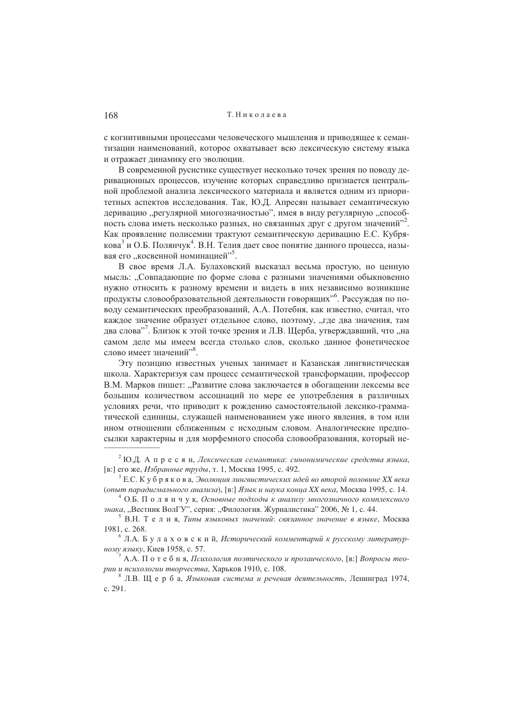с когнитивными процессами человеческого мышления и приводящее к семантизации наименований, которое охватывает всю лексическую систему языка и отражает динамику его эволюции.

В современной русистике существует несколько точек зрения по поводу деривационных процессов, изучение которых справедливо признается центральной проблемой анализа лексического материала и является одним из приоритетных аспектов исследования. Так, Ю.Д. Апресян называет семантическую деривацию "регулярной многозначностью", имея в виду регулярную "способность слова иметь несколько разных, но связанных друг с другом значений"<sup>2</sup>. Как проявление полисемии трактуют семантическую деривацию Е.С. Кубрякова<sup>3</sup> и О.Б. Полянчук<sup>4</sup>. В.Н. Телия дает свое понятие данного процесса, называя его "косвенной номинацией"<sup>5</sup>.

В свое время Л.А. Булаховский высказал весьма простую, но ценную мысль: "Совпадающие по форме слова с разными значениями обыкновенно нужно относить к разному времени и видеть в них независимо возникшие продукты словообразовательной деятельности говорящих" Рассуждая по поводу семантических преобразований, А.А. Потебня, как известно, считал, что каждое значение образует отдельное слово, поэтому, "где два значения, там два слова"<sup>7</sup>. Близок к этой точке зрения и Л.В. Щерба, утверждавший, что "на самом деле мы имеем всегда столько слов, сколько данное фонетическое слово имеет значений"<sup>8</sup>.

Эту позицию известных ученых занимает и Казанская лингвистическая школа. Характеризуя сам процесс семантической трансформации, профессор В.М. Марков пишет: "Развитие слова заключается в обогащении лексемы все большим количеством ассоциаций по мере ее употребления в различных условиях речи, что приводит к рождению самостоятельной лексико-грамматической единицы, служащей наименованием уже иного явления, в том или ином отношении сближенным с исходным словом. Аналогические предпосылки характерны и для морфемного способа словообразования, который не-

 $^4$  O.B. П о л я н ч у к, Основные подходы к анализу многозначного комплексного знака, "Вестник ВолГУ", серия: "Филология. Журналистика" 2006, № 1, с. 44.

<sup>7</sup> А.А. Потебня, Психология поэтического и прозаического, [в:] Вопросы теории и психологии творчества, Харьков 1910, с. 108.

 $8\,$  Л.В. Щ е р б а, Языковая система и речевая деятельность, Ленинград 1974, c. 291.

<sup>&</sup>lt;sup>2</sup> Ю.Д. А пресян, Лексическая семантика: синонимические средства языка, [в:] его же. *Избранные труды*, т. 1, Москва 1995, с. 492.

 $^3$  E.C. К у б р я к о в а, Эволюция лингвистических идей во второй половине XX века (опыт парадигмального анализа), [в:] Язык и наука конца XX века, Москва 1995, с. 14.

 $5$  В.Н. Т е л и я, Типы языковых значений: связанное значение в языке, Москва 1981, c. 268.

<sup>&</sup>lt;sup>6</sup> Л.А. Булаховский, Исторический комментарий к русскому литературному языку, Киев 1958, с. 57.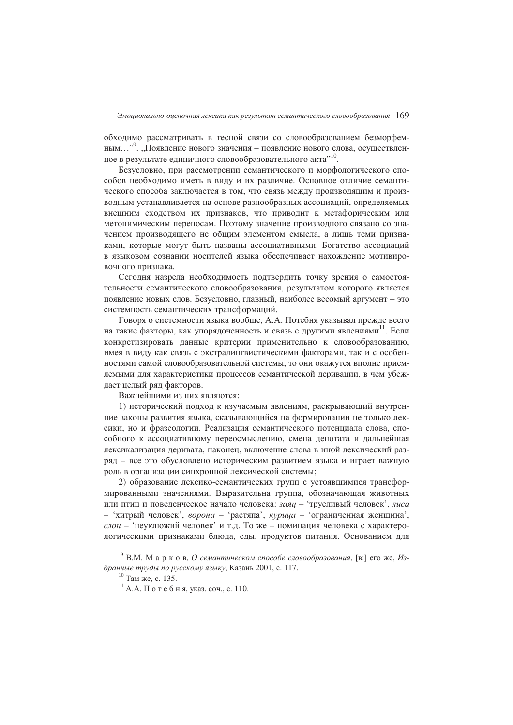обходимо рассматривать в тесной связи со словообразованием безморфемным..."<sup>9</sup>. ..Появление нового значения – появление нового слова, осуществленное в результате единичного словообразовательного акта".

Безусловно, при рассмотрении семантического и морфологического способов необходимо иметь в виду и их различие. Основное отличие семантического способа заключается в том, что связь между производящим и производным устанавливается на основе разнообразных ассоциаций, определяемых внешним сходством их признаков, что приводит к метафорическим или метонимическим переносам. Поэтому значение производного связано со значением произволяшего не обшим элементом смысла, а лишь теми признаками, которые могут быть названы ассоциативными. Богатство ассоциаций в языковом сознании носителей языка обеспечивает нахождение мотивировочного признака.

Сегодня назрела необходимость подтвердить точку зрения о самостоятельности семантического словообразования, результатом которого является появление новых слов. Безусловно, главный, наиболее весомый аргумент - это системность семантических трансформаций.

Говоря о системности языка вообще, А.А. Потебня указывал прежде всего на такие факторы, как упорядоченность и связь с другими явлениями<sup>11</sup>. Если конкретизировать данные критерии применительно к словообразованию, имея в виду как связь с экстралингвистическими факторами, так и с особенностями самой словообразовательной системы, то они окажутся вполне приемлемыми для характеристики процессов семантической деривации, в чем убеждает целый ряд факторов.

Важнейшими из них являются:

1) исторический подход к изучаемым явлениям, раскрывающий внутренние законы развития языка, сказывающийся на формировании не только лексики, но и фразеологии. Реализация семантического потенциала слова, способного к ассоциативному переосмыслению, смена денотата и дальнейшая лексикализация деривата, наконец, включение слова в иной лексический разряд - все это обусловлено историческим развитием языка и играет важную роль в организации синхронной лексической системы;

2) образование лексико-семантических групп с устоявшимися трансформированными значениями. Выразительна группа, обозначающая животных или птиц и поведенческое начало человека: заяц - 'трусливый человек', лиса - 'хитрый человек', ворона - 'растяпа', курица - 'ограниченная женщина', слон - 'неуклюжий человек' и т.д. То же - номинация человека с характерологическими признаками блюда, елы, продуктов питания. Основанием для

<sup>&</sup>lt;sup>9</sup> В.М. М а р к о в, О семантическом способе словообразования, [в:] его же, Избранные труды по русскому языку, Казань 2001, с. 117.

<sup>10</sup> Там же, с. 135.

<sup>&</sup>lt;sup>11</sup> А.А. Потебня, указ. соч., с. 110.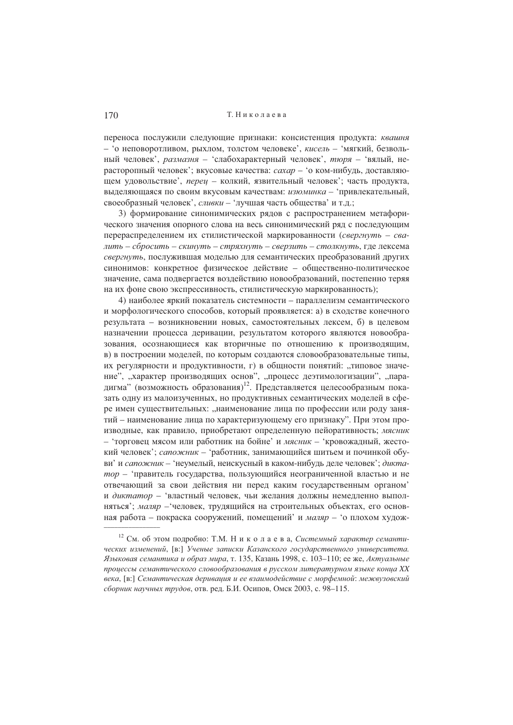переноса послужили следующие признаки: консистенция продукта: квашня - о неповоротливом, рыхлом, толстом человеке', кисель - 'мягкий, безвольный человек', размазня - 'слабохарактерный человек', тюря - 'вялый, нерасторопный человек'; вкусовые качества: сахар - 'о ком-нибудь, доставляющем удовольствие', перец - колкий, язвительный человек'; часть продукта, выделяющаяся по своим вкусовым качествам: изюминка - 'привлекательный, своеобразный человек', сливки - 'лучшая часть общества' и т.д.;

3) формирование синонимических рядов с распространением метафорического значения опорного слова на весь синонимический ряд с последующим перераспределением их стилистической маркированности (свергнуть - свалить - сбросить - скинуть - стряхнуть - сверзить - столкнуть, где лексема свергнуть, послужившая моделью для семантических преобразований других синонимов: конкретное физическое действие - общественно-политическое значение, сама подвергается воздействию новообразований, постепенно теряя на их фоне свою экспрессивность, стилистическую маркированность);

4) наиболее яркий показатель системности - параллелизм семантического и морфологического способов, который проявляется: а) в сходстве конечного результата - возникновении новых, самостоятельных лексем, б) в целевом назначении процесса деривации, результатом которого являются новообразования, осознающиеся как вторичные по отношению к производящим, в) в построении моделей, по которым создаются словообразовательные типы, их регулярности и продуктивности, г) в общности понятий: "типовое значение", "характер производящих основ", "процесс деэтимологизации", "парадигма" (возможность образования)<sup>12</sup>. Представляется целесообразным показать одну из малоизученных, но продуктивных семантических моделей в сфере имен существительных: "наименование лица по профессии или роду занятий – наименование лица по характеризующему его признаку". При этом производные, как правило, приобретают определенную пейоративность; мясник - 'торговец мясом или работник на бойне' и мясник - 'кровожадный, жестокий человек': *сапожник* - 'работник, занимающийся шитьем и починкой обуви' и сапожник - 'неумелый, неискусный в каком-нибудь деле человек'; диктатор - 'правитель государства, пользующийся неограниченной властью и не отвечающий за свои действия ни перед каким государственным органом' и диктатор - 'властный человек, чьи желания должны немедленно выполняться'; маляр - человек, трудящийся на строительных объектах, его основная работа – покраска сооружений, помещений и маляр – о плохом худож-

<sup>&</sup>lt;sup>12</sup> См. об этом подробно: Т.М. Н и к о л а е в а, Системный характер семантических изменений, [в:] Ученые записки Казанского государственного университета. Языковая семантика и образ мира, т. 135, Казань 1998, с. 103-110; ее же, Актуальные процессы семантического словообразования в русском литературном языке конца XX века, [в:] Семантическая деривация и ее взаимодействие с морфемной: межвузовский сборник научных трудов, отв. ред. Б.И. Осипов, Омск 2003, с. 98-115.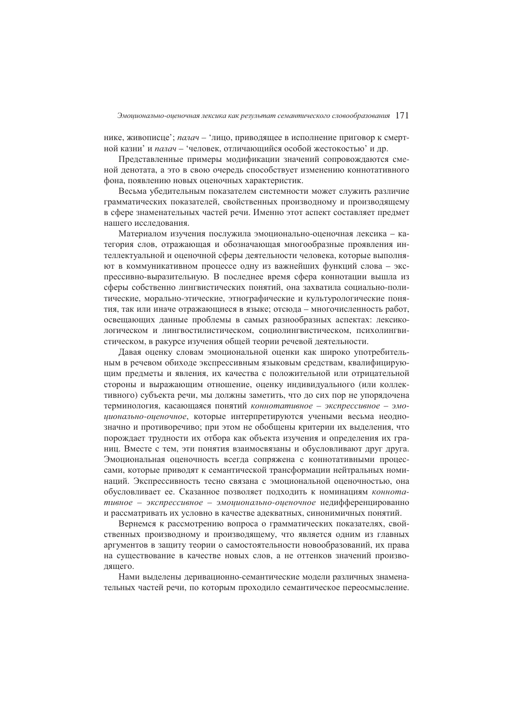нике, живописце'; *палач* – 'лицо, приводящее в исполнение приговор к смертной казни' и палач - 'человек, отличающийся особой жестокостью' и др.

Представленные примеры модификации значений сопровождаются сменой денотата, а это в свою очередь способствует изменению коннотативного фона, появлению новых оценочных характеристик.

Весьма убедительным показателем системности может служить различие грамматических показателей, свойственных производному и производящему в сфере знаменательных частей речи. Именно этот аспект составляет предмет нашего исслелования.

Материалом изучения послужила эмоционально-оценочная лексика - категория слов, отражающая и обозначающая многообразные проявления интеллектуальной и оценочной сферы деятельности человека, которые выполняют в коммуникативном процессе одну из важнейших функций слова - экспрессивно-выразительную. В последнее время сфера коннотации вышла из сферы собственно лингвистических понятий, она захватила социально-политические, морально-этические, этнографические и культурологические понятия, так или иначе отражающиеся в языке; отсюда - многочисленность работ, освещающих данные проблемы в самых разнообразных аспектах: лексикологическом и лингвостилистическом, социолингвистическом, психолингвистическом, в ракурсе изучения общей теории речевой деятельности.

Давая оценку словам эмоциональной оценки как широко употребительным в речевом обиходе экспрессивным языковым средствам, квалифицирующим предметы и явления, их качества с положительной или отрицательной стороны и выражающим отношение, оценку индивидуального (или коллективного) субъекта речи, мы должны заметить, что до сих пор не упорядочена терминология, касающаяся понятий коннотативное - экспрессивное - эмоционально-оценочное, которые интерпретируются учеными весьма неоднозначно и противоречиво; при этом не обобщены критерии их выделения, что порождает трудности их отбора как объекта изучения и определения их границ. Вместе с тем, эти понятия взаимосвязаны и обусловливают друг друга. Эмоциональная оценочность всегда сопряжена с коннотативными процессами, которые приводят к семантической трансформации нейтральных номинаций. Экспрессивность тесно связана с эмоциональной оценочностью, она обусловливает ее. Сказанное позволяет подходить к номинациям коннотативное - экспрессивное - эмоционально-оценочное недифференцированно и рассматривать их условно в качестве адекватных, синонимичных понятий.

Вернемся к рассмотрению вопроса о грамматических показателях, свойственных производному и производящему, что является одним из главных аргументов в защиту теории о самостоятельности новообразований, их права на существование в качестве новых слов, а не оттенков значений произволяшего.

Нами выделены деривационно-семантические модели различных знаменательных частей речи, по которым проходило семантическое переосмысление.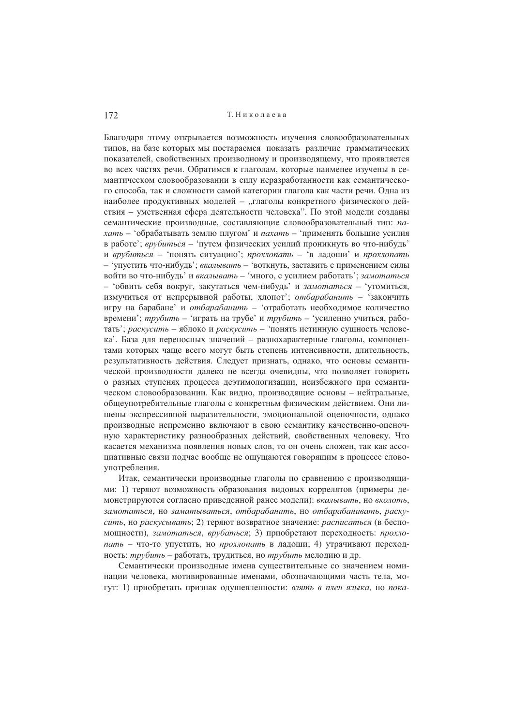Благодаря этому открывается возможность изучения словообразовательных типов, на базе которых мы постараемся показать различие грамматических показателей, свойственных произволному и произволяшему, что проявляется во всех частях речи. Обратимся к глаголам, которые наименее изучены в семантическом словообразовании в силу неразработанности как семантического способа, так и сложности самой категории глагола как части речи. Одна из наиболее продуктивных моделей - "глаголы конкретного физического действия - умственная сфера деятельности человека". По этой модели созданы семантические произволные, составляющие словообразовательный тип: пахать - обрабатывать землю плугом' и пахать - 'применять большие усилия в работе': врубиться - 'путем физических усилий проникнуть во что-нибуль' и врубиться - 'понять ситуацию'; прохлопать - 'в ладоши' и прохлопать - 'упустить что-нибудь'; вкалывать - 'воткнуть, заставить с применением силы войти во что-нибудь' и вкалывать - 'много, с усилием работать'; замотаться - обвить себя вокруг, закутаться чем-нибудь' и замотаться - 'утомиться, измучиться от непрерывной работы, хлопот'; отбарабанить - 'закончить игру на барабане' и отбарабанить - 'отработать необходимое количество времени'; трубить - 'играть на трубе' и трубить - 'усиленно учиться, работать'; раскусить - яблоко и раскусить - 'понять истинную сущность человека'. База для переносных значений - разнохарактерные глаголы, компонентами которых чаще всего могут быть степень интенсивности, длительность, результативность действия. Следует признать, однако, что основы семантической производности далеко не всегда очевидны, что позволяет говорить о разных ступенях процесса деэтимологизации, неизбежного при семантическом словообразовании. Как видно, производящие основы - нейтральные, общеупотребительные глаголы с конкретньм физическим действием. Они лишены экспрессивной выразительности, эмоциональной оценочности, однако производные непременно включают в свою семантику качественно-оценочную характеристику разнообразных действий, свойственных человеку. Что касается механизма появления новых слов, то он очень сложен, так как ассоциативные связи подчас вообще не ощущаются говорящим в процессе словоупотребления.

Итак, семантически производные глаголы по сравнению с производящими: 1) теряют возможность образования видовых коррелятов (примеры демонстрируются согласно приведенной ранее модели): вкалывать, но вколоть, замотаться, но заматываться, отбарабанить, но отбарабанивать, раскусить, но раскусывать; 2) теряют возвратное значение: расписаться (в беспомощности), замотаться, врубаться; 3) приобретают переходность; прохлопать - что-то упустить, но прохлопать в ладоши; 4) утрачивают переходность: трубить - работать, трудиться, но трубить мелодию и др.

Семантически производные имена существительные со значением номинации человека, мотивированные именами, обозначающими часть тела, могут: 1) приобретать признак одушевленности: взять в плен языка, но пока-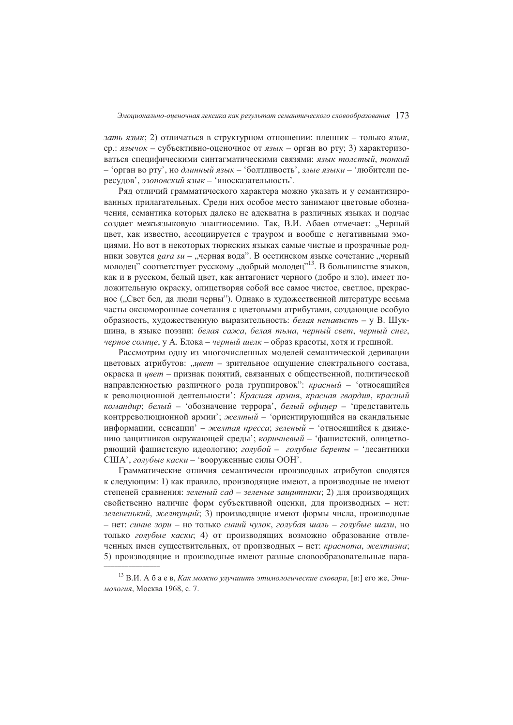зать язык; 2) отличаться в структурном отношении: пленник - только язык, ср.: язычок – субъективно-оценочное от язык – орган во рту; 3) характеризоваться специфическими синтагматическими связями: язык толстый, тонкий - 'орган во рту', но длинный язык - 'болтливость', злые языки - 'любители пересудов', эзоповский язык - 'иносказательность'.

Ряд отличий грамматического характера можно указать и у семантизированных прилагательных. Среди них особое место занимают цветовые обозначения, семантика которых далеко не адекватна в различных языках и подчас создает межьязыковую энантиосемию. Так, В.И. Абаев отмечает: "Черный цвет, как известно, ассоциируется с трауром и вообще с негативными эмоциями. Но вот в некоторых тюркских языках самые чистые и прозрачные родники зовутся *gara su* - "черная вода". В осетинском языке сочетание "черный молодец" соответствует русскому "добрый молодец". В большинстве языков, как и в русском, белый цвет, как антагонист черного (добро и зло), имеет положительную окраску, олицетворяя собой все самое чистое, светлое, прекрасное ("Свет бел, ла люли черны"). Олнако в хуложественной литературе весьма часты оксюморонные сочетания с цветовыми атрибутами, создающие особую образность, художественную выразительность: белая ненависть - у В. Шукшина, в языке поэзии: белая сажа, белая тьма, черный свет, черный снег, черное солнце, у А. Блока - черный шелк - образ красоты, хотя и грешной.

Рассмотрим одну из многочисленных моделей семантической деривации цветовых атрибутов: "цвет - зрительное ощущение спектрального состава, окраска и ивет - признак понятий, связанных с общественной, политической направленностью различного рода группировок": красный - 'относящийся к революционной деятельности': Красная армия, красная гвардия, красный командир; белый - 'обозначение террора', белый офицер - 'представитель контрреволюционной армии'; желтый - 'ориентирующийся на скандальные информации, сенсации' - желтая пресса; зеленый - 'относящийся к движению защитников окружающей среды'; коричневый - 'фашистский, олицетворяющий фашистскую идеологию; голубой - голубые береты - 'десантники США', голубые каски - 'вооруженные силы ООН'.

Грамматические отличия семантически производных атрибутов сводятся к следующим: 1) как правило, производящие имеют, а производные не имеют степеней сравнения: зеленый сад - зеленые защитники; 2) для производящих свойственно наличие форм субъективной оценки, для производных - нет: зелененький, желтущий; 3) производящие имеют формы числа, производные – нет: синие зори – но только синий чулок, голубая шаль – голубые шали, но только голубые каски; 4) от производящих возможно образование отвлеченных имен существительных, от производных - нет: краснота, желтизна; 5) производящие и производные имеют разные словообразовательные пара-

<sup>&</sup>lt;sup>13</sup> В.И. А б а е в, Как можно улучшить этимологические словари, [в:] его же, Этимология, Москва 1968, с. 7.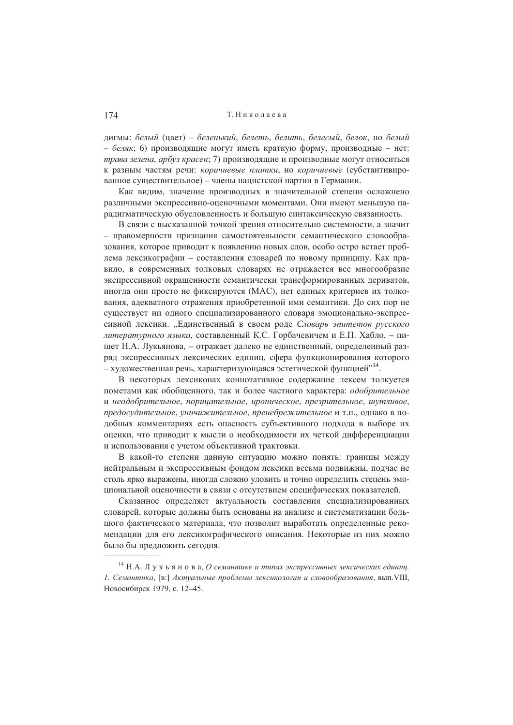дигмы: белый (цвет) – беленький, белеть, белить, белесый, белок, но белый  $-$  беляк; 6) произволящие могут иметь краткую форму, произволные – нет; трава зелена, арбуз красен; 7) производящие и производные могут относиться к разным частям речи: коричневые платки, но коричневые (субстантивированное существительное) - члены нацистской партии в Германии.

Как видим, значение производных в значительной степени осложнено различными экспрессивно-оценочными моментами. Они имеют меньшую парадигматическую обусловленность и большую синтаксическую связанность.

В связи с высказанной точкой зрения относительно системности, а значит - правомерности признания самостоятельности семантического словообразования, которое приводит к появлению новых слов, особо остро встает проблема лексикографии - составления словарей по новому принципу. Как правило, в современных толковых словарях не отражается все многообразие экспрессивной окрашенности семантически трансформированных дериватов, иногда они просто не фиксируются (МАС), нет единых критериев их толкования, алекватного отражения приобретенной ими семантики. Ло сих пор не существует ни одного специализированного словаря эмоционально-экспрессивной лексики. "Единственный в своем роде Словарь эпитетов русского литературного языка, составленный К.С. Горбачевичем и Е.П. Хабло, - пишет Н.А. Лукьянова, - отражает далеко не единственный, определенный разряд экспрессивных лексических единиц, сфера функционирования которого - художественная речь, характеризующаяся эстетической функцией"<sup>14</sup>.

В некоторых лексиконах коннотативное содержание лексем толкуется пометами как обобщенного, так и более частного характера: одобрительное и неодобрительное, порицательное, ироническое, презрительное, шутливое, предосудительное, уничижительное, пренебрежительное и т.п., однако в подобных комментариях есть опасность субъективного подхода в выборе их оценки, что приводит к мысли о необходимости их четкой дифференциации и использования с учетом объективной трактовки.

В какой-то степени данную ситуацию можно понять: границы между нейтральным и экспрессивным фондом лексики весьма подвижны, подчас не столь ярко выражены, иногда сложно уловить и точно определить степень эмоциональной оценочности в связи с отсутствием специфических показателей.

Сказанное определяет актуальность составления специализированных словарей, которые должны быть основаны на анализе и систематизации большого фактического материала, что позволит выработать определенные рекомендации для его лексикографического описания. Некоторые из них можно было бы предложить сегодня.

<sup>&</sup>lt;sup>14</sup> Н.А. Лукьянова, О семантике и типах экспрессивных лексических единиц. 1. Семантика, [в:] Актуальные проблемы лексикологии и словообразования, вып. VIII, Новосибирск 1979, с. 12-45.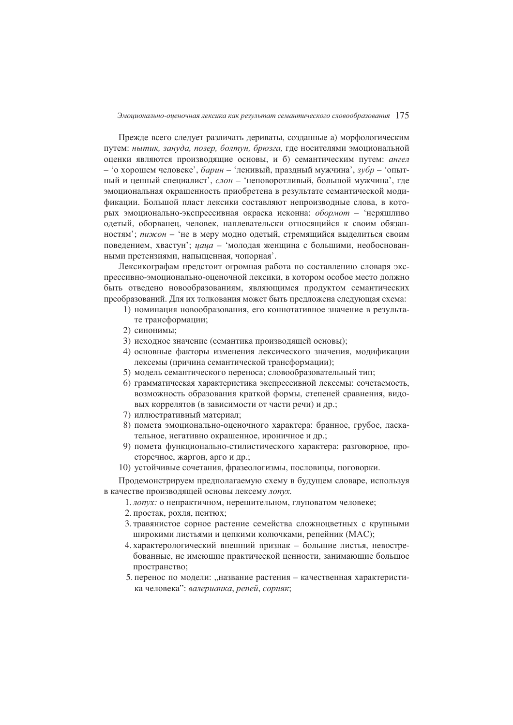Прежде всего следует различать дериваты, созданные а) морфологическим путем: нытик, зануда, позер, болтун, брюзга, где носителями эмоциональной оценки являются производящие основы, и б) семантическим путем: ангел - о хорошем человеке', барин - 'ленивый, праздный мужчина', зубр - 'опытный и ценный специалист', слон - 'неповоротливый, большой мужчина', где эмоциональная окрашенность приобретена в результате семантической модификации. Большой пласт лексики составляют непроизводные слова, в которых эмоционально-экспрессивная окраска исконна: обормот - 'неряшливо одетый, оборванец, человек, наплевательски относящийся к своим обязанностям': пижон - 'не в меру молно олетый, стремяшийся вылелиться своим поведением, хвастун'; цаца - 'молодая женщина с большими, необоснованными претензиями, напыщенная, чопорная'.

Лексикографам предстоит огромная работа по составлению словаря экспрессивно-эмоционально-оценочной лексики, в котором особое место должно быть отведено новообразованиям, являющимся продуктом семантических преобразований. Для их толкования может быть предложена следующая схема:

- 1) номинация новообразования, его коннотативное значение в результате трансформации;
- 2) синонимы:
- 3) исходное значение (семантика производящей основы);
- 4) основные факторы изменения лексического значения, модификации лексемы (причина семантической трансформации);
- 5) модель семантического переноса; словообразовательный тип;
- 6) грамматическая характеристика экспрессивной лексемы: сочетаемость, возможность образования краткой формы, степеней сравнения, видовых коррелятов (в зависимости от части речи) и др.;
- 7) иллюстративный материал;
- 8) помета эмоционально-оценочного характера: бранное, грубое, ласкательное, негативно окрашенное, ироничное и др.;
- 9) помета функционально-стилистического характера: разговорное, просторечное, жаргон, арго и др.;
- 10) устойчивые сочетания, фразеологизмы, пословицы, поговорки.

Продемонстрируем предполагаемую схему в будущем словаре, используя в качестве производящей основы лексему лопух.

- 1. лопух: о непрактичном, нерешительном, глуповатом человеке;
- 2. простак, рохля, пентюх;
- 3. травянистое сорное растение семейства сложноцветных с крупными широкими листьями и цепкими колючками, репейник (МАС);
- 4. характерологический внешний признак большие листья, невостребованные, не имеющие практической ценности, занимающие большое пространство;
- 5. перенос по модели: "название растения качественная характеристика человека": валерианка, репей, сорняк;